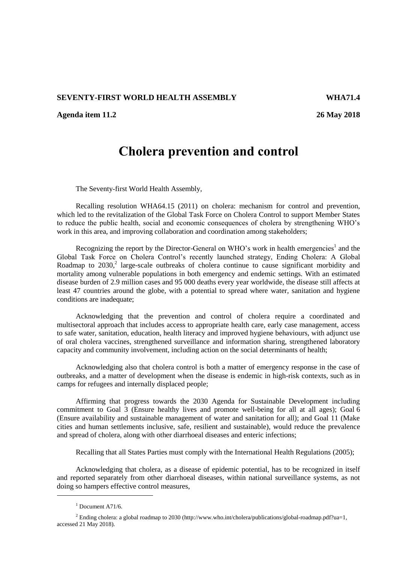## **SEVENTY-FIRST WORLD HEALTH ASSEMBLY WHA71.4**

**Agenda item 11.2 26 May 2018**

## **Cholera prevention and control**

The Seventy-first World Health Assembly,

Recalling resolution WHA64.15 (2011) on cholera: mechanism for control and prevention, which led to the revitalization of the Global Task Force on Cholera Control to support Member States to reduce the public health, social and economic consequences of cholera by strengthening WHO's work in this area, and improving collaboration and coordination among stakeholders;

Recognizing the report by the Director-General on WHO's work in health emergencies<sup>1</sup> and the Global Task Force on Cholera Control's recently launched strategy, Ending Cholera: A Global Roadmap to  $2030$ ,<sup>2</sup> large-scale outbreaks of cholera continue to cause significant morbidity and mortality among vulnerable populations in both emergency and endemic settings. With an estimated disease burden of 2.9 million cases and 95 000 deaths every year worldwide, the disease still affects at least 47 countries around the globe, with a potential to spread where water, sanitation and hygiene conditions are inadequate;

Acknowledging that the prevention and control of cholera require a coordinated and multisectoral approach that includes access to appropriate health care, early case management, access to safe water, sanitation, education, health literacy and improved hygiene behaviours, with adjunct use of oral cholera vaccines, strengthened surveillance and information sharing, strengthened laboratory capacity and community involvement, including action on the social determinants of health;

Acknowledging also that cholera control is both a matter of emergency response in the case of outbreaks, and a matter of development when the disease is endemic in high-risk contexts, such as in camps for refugees and internally displaced people;

Affirming that progress towards the 2030 Agenda for Sustainable Development including commitment to Goal 3 (Ensure healthy lives and promote well-being for all at all ages); Goal 6 (Ensure availability and sustainable management of water and sanitation for all); and Goal 11 (Make cities and human settlements inclusive, safe, resilient and sustainable), would reduce the prevalence and spread of cholera, along with other diarrhoeal diseases and enteric infections;

Recalling that all States Parties must comply with the International Health Regulations (2005);

Acknowledging that cholera, as a disease of epidemic potential, has to be recognized in itself and reported separately from other diarrhoeal diseases, within national surveillance systems, as not doing so hampers effective control measures,

-

 $1$  Document A71/6.

<sup>&</sup>lt;sup>2</sup> Ending cholera: a global roadmap to 2030 [\(http://www.who.int/cholera/publications/global-roadmap.pdf?ua=1,](http://www.who.int/cholera/publications/global-roadmap.pdf?ua=1) accessed 21 May 2018).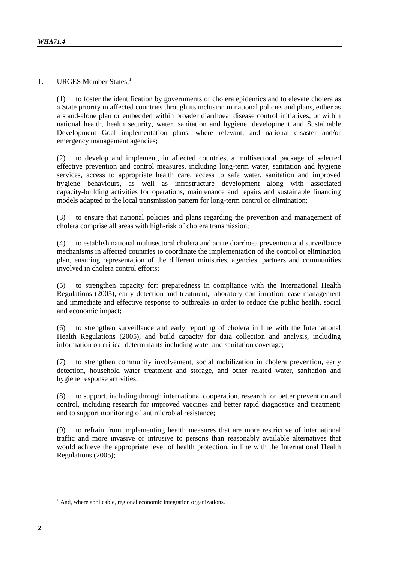1. URGES Member States:<sup>1</sup>

(1) to foster the identification by governments of cholera epidemics and to elevate cholera as a State priority in affected countries through its inclusion in national policies and plans, either as a stand-alone plan or embedded within broader diarrhoeal disease control initiatives, or within national health, health security, water, sanitation and hygiene, development and Sustainable Development Goal implementation plans, where relevant, and national disaster and/or emergency management agencies;

(2) to develop and implement, in affected countries, a multisectoral package of selected effective prevention and control measures, including long-term water, sanitation and hygiene services, access to appropriate health care, access to safe water, sanitation and improved hygiene behaviours, as well as infrastructure development along with associated capacity-building activities for operations, maintenance and repairs and sustainable financing models adapted to the local transmission pattern for long-term control or elimination;

(3) to ensure that national policies and plans regarding the prevention and management of cholera comprise all areas with high-risk of cholera transmission;

(4) to establish national multisectoral cholera and acute diarrhoea prevention and surveillance mechanisms in affected countries to coordinate the implementation of the control or elimination plan, ensuring representation of the different ministries, agencies, partners and communities involved in cholera control efforts;

(5) to strengthen capacity for: preparedness in compliance with the International Health Regulations (2005), early detection and treatment, laboratory confirmation, case management and immediate and effective response to outbreaks in order to reduce the public health, social and economic impact;

(6) to strengthen surveillance and early reporting of cholera in line with the International Health Regulations (2005), and build capacity for data collection and analysis, including information on critical determinants including water and sanitation coverage;

(7) to strengthen community involvement, social mobilization in cholera prevention, early detection, household water treatment and storage, and other related water, sanitation and hygiene response activities;

(8) to support, including through international cooperation, research for better prevention and control, including research for improved vaccines and better rapid diagnostics and treatment; and to support monitoring of antimicrobial resistance;

(9) to refrain from implementing health measures that are more restrictive of international traffic and more invasive or intrusive to persons than reasonably available alternatives that would achieve the appropriate level of health protection, in line with the International Health Regulations (2005);

1

 $<sup>1</sup>$  And, where applicable, regional economic integration organizations.</sup>